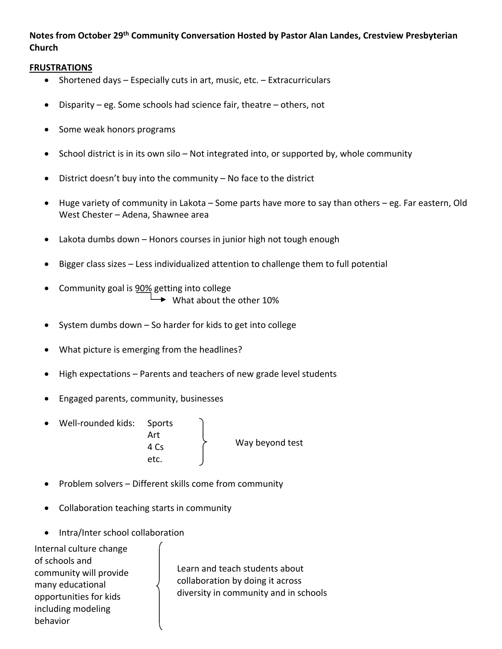## **Notes from October 29th Community Conversation Hosted by Pastor Alan Landes, Crestview Presbyterian Church**

## **FRUSTRATIONS**

- Shortened days Especially cuts in art, music, etc. Extracurriculars
- Disparity eg. Some schools had science fair, theatre others, not
- Some weak honors programs
- School district is in its own silo Not integrated into, or supported by, whole community
- District doesn't buy into the community No face to the district
- Huge variety of community in Lakota Some parts have more to say than others eg. Far eastern, Old West Chester – Adena, Shawnee area
- Lakota dumbs down Honors courses in junior high not tough enough
- Bigger class sizes Less individualized attention to challenge them to full potential
- Community goal is 90% getting into college What about the other 10%
- System dumbs down So harder for kids to get into college
- What picture is emerging from the headlines?
- High expectations Parents and teachers of new grade level students
- Engaged parents, community, businesses
- Well-rounded kids: Sports **Art Art**

 4 Cs etc. Way beyond test

- Problem solvers Different skills come from community
- Collaboration teaching starts in community
- Intra/Inter school collaboration

Internal culture change  $\qquad \qquad \int$  of schools and community will provide many educational opportunities for kids including modeling behavior

 Learn and teach students about collaboration by doing it across diversity in community and in schools